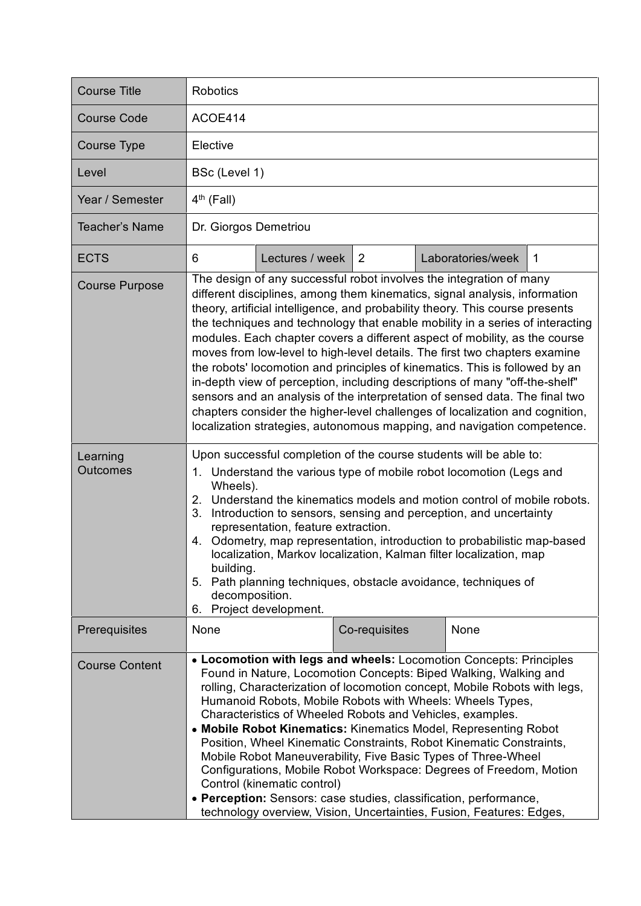| <b>Course Title</b>         | <b>Robotics</b>                                                                                                                                                                                                                                                                                                                                                                                                                                                                                                                                                                                                                                                                                                                                                                                                                                                                         |  |  |  |
|-----------------------------|-----------------------------------------------------------------------------------------------------------------------------------------------------------------------------------------------------------------------------------------------------------------------------------------------------------------------------------------------------------------------------------------------------------------------------------------------------------------------------------------------------------------------------------------------------------------------------------------------------------------------------------------------------------------------------------------------------------------------------------------------------------------------------------------------------------------------------------------------------------------------------------------|--|--|--|
| <b>Course Code</b>          | ACOE414                                                                                                                                                                                                                                                                                                                                                                                                                                                                                                                                                                                                                                                                                                                                                                                                                                                                                 |  |  |  |
| <b>Course Type</b>          | Elective                                                                                                                                                                                                                                                                                                                                                                                                                                                                                                                                                                                                                                                                                                                                                                                                                                                                                |  |  |  |
| Level                       | BSc (Level 1)                                                                                                                                                                                                                                                                                                                                                                                                                                                                                                                                                                                                                                                                                                                                                                                                                                                                           |  |  |  |
| Year / Semester             | $4th$ (Fall)                                                                                                                                                                                                                                                                                                                                                                                                                                                                                                                                                                                                                                                                                                                                                                                                                                                                            |  |  |  |
| Teacher's Name              | Dr. Giorgos Demetriou                                                                                                                                                                                                                                                                                                                                                                                                                                                                                                                                                                                                                                                                                                                                                                                                                                                                   |  |  |  |
| <b>ECTS</b>                 | Lectures / week<br>2<br>Laboratories/week<br>6<br>-1                                                                                                                                                                                                                                                                                                                                                                                                                                                                                                                                                                                                                                                                                                                                                                                                                                    |  |  |  |
| <b>Course Purpose</b>       | The design of any successful robot involves the integration of many<br>different disciplines, among them kinematics, signal analysis, information<br>theory, artificial intelligence, and probability theory. This course presents<br>the techniques and technology that enable mobility in a series of interacting<br>modules. Each chapter covers a different aspect of mobility, as the course<br>moves from low-level to high-level details. The first two chapters examine<br>the robots' locomotion and principles of kinematics. This is followed by an<br>in-depth view of perception, including descriptions of many "off-the-shelf"<br>sensors and an analysis of the interpretation of sensed data. The final two<br>chapters consider the higher-level challenges of localization and cognition,<br>localization strategies, autonomous mapping, and navigation competence. |  |  |  |
| Learning<br><b>Outcomes</b> | Upon successful completion of the course students will be able to:<br>1. Understand the various type of mobile robot locomotion (Legs and<br>Wheels).<br>2. Understand the kinematics models and motion control of mobile robots.<br>Introduction to sensors, sensing and perception, and uncertainty<br>3.<br>representation, feature extraction.<br>4. Odometry, map representation, introduction to probabilistic map-based<br>localization, Markov localization, Kalman filter localization, map<br>building.<br>5. Path planning techniques, obstacle avoidance, techniques of<br>decomposition.<br>6. Project development.                                                                                                                                                                                                                                                        |  |  |  |
| Prerequisites               | None<br>Co-requisites<br>None                                                                                                                                                                                                                                                                                                                                                                                                                                                                                                                                                                                                                                                                                                                                                                                                                                                           |  |  |  |
| <b>Course Content</b>       | • Locomotion with legs and wheels: Locomotion Concepts: Principles<br>Found in Nature, Locomotion Concepts: Biped Walking, Walking and<br>rolling, Characterization of locomotion concept, Mobile Robots with legs,<br>Humanoid Robots, Mobile Robots with Wheels: Wheels Types,<br>Characteristics of Wheeled Robots and Vehicles, examples.<br>• Mobile Robot Kinematics: Kinematics Model, Representing Robot<br>Position, Wheel Kinematic Constraints, Robot Kinematic Constraints,<br>Mobile Robot Maneuverability, Five Basic Types of Three-Wheel<br>Configurations, Mobile Robot Workspace: Degrees of Freedom, Motion<br>Control (kinematic control)<br>• Perception: Sensors: case studies, classification, performance,<br>technology overview, Vision, Uncertainties, Fusion, Features: Edges,                                                                              |  |  |  |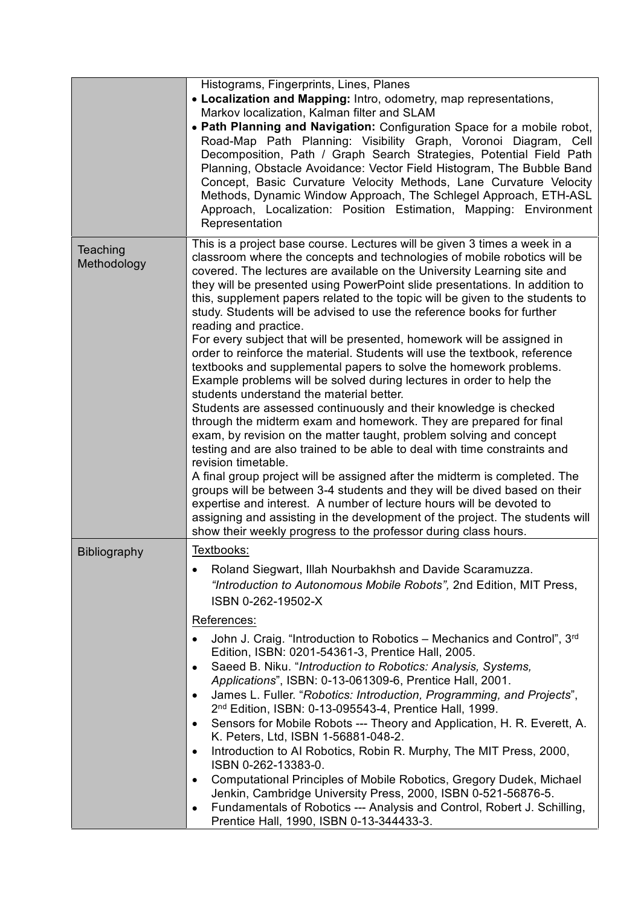|                         | Histograms, Fingerprints, Lines, Planes<br>• Localization and Mapping: Intro, odometry, map representations,<br>Markov localization, Kalman filter and SLAM<br>. Path Planning and Navigation: Configuration Space for a mobile robot,<br>Road-Map Path Planning: Visibility Graph, Voronoi Diagram, Cell<br>Decomposition, Path / Graph Search Strategies, Potential Field Path<br>Planning, Obstacle Avoidance: Vector Field Histogram, The Bubble Band<br>Concept, Basic Curvature Velocity Methods, Lane Curvature Velocity<br>Methods, Dynamic Window Approach, The Schlegel Approach, ETH-ASL<br>Approach, Localization: Position Estimation, Mapping: Environment<br>Representation                                                                                                                                                                                                                                                                                                                                                                                                                                                                                                                                                                                                                                                                                                                                                                                                                                                                       |
|-------------------------|------------------------------------------------------------------------------------------------------------------------------------------------------------------------------------------------------------------------------------------------------------------------------------------------------------------------------------------------------------------------------------------------------------------------------------------------------------------------------------------------------------------------------------------------------------------------------------------------------------------------------------------------------------------------------------------------------------------------------------------------------------------------------------------------------------------------------------------------------------------------------------------------------------------------------------------------------------------------------------------------------------------------------------------------------------------------------------------------------------------------------------------------------------------------------------------------------------------------------------------------------------------------------------------------------------------------------------------------------------------------------------------------------------------------------------------------------------------------------------------------------------------------------------------------------------------|
| Teaching<br>Methodology | This is a project base course. Lectures will be given 3 times a week in a<br>classroom where the concepts and technologies of mobile robotics will be<br>covered. The lectures are available on the University Learning site and<br>they will be presented using PowerPoint slide presentations. In addition to<br>this, supplement papers related to the topic will be given to the students to<br>study. Students will be advised to use the reference books for further<br>reading and practice.<br>For every subject that will be presented, homework will be assigned in<br>order to reinforce the material. Students will use the textbook, reference<br>textbooks and supplemental papers to solve the homework problems.<br>Example problems will be solved during lectures in order to help the<br>students understand the material better.<br>Students are assessed continuously and their knowledge is checked<br>through the midterm exam and homework. They are prepared for final<br>exam, by revision on the matter taught, problem solving and concept<br>testing and are also trained to be able to deal with time constraints and<br>revision timetable.<br>A final group project will be assigned after the midterm is completed. The<br>groups will be between 3-4 students and they will be dived based on their<br>expertise and interest. A number of lecture hours will be devoted to<br>assigning and assisting in the development of the project. The students will<br>show their weekly progress to the professor during class hours. |
| <b>Bibliography</b>     | Textbooks:<br>Roland Siegwart, Illah Nourbakhsh and Davide Scaramuzza.<br>$\bullet$<br>"Introduction to Autonomous Mobile Robots", 2nd Edition, MIT Press,<br>ISBN 0-262-19502-X<br>References:<br>John J. Craig. "Introduction to Robotics – Mechanics and Control", 3rd<br>Edition, ISBN: 0201-54361-3, Prentice Hall, 2005.<br>Saeed B. Niku. "Introduction to Robotics: Analysis, Systems,<br>$\bullet$<br>Applications", ISBN: 0-13-061309-6, Prentice Hall, 2001.<br>James L. Fuller. "Robotics: Introduction, Programming, and Projects",<br>$\bullet$<br>2 <sup>nd</sup> Edition, ISBN: 0-13-095543-4, Prentice Hall, 1999.<br>Sensors for Mobile Robots --- Theory and Application, H. R. Everett, A.<br>٠<br>K. Peters, Ltd, ISBN 1-56881-048-2.<br>Introduction to AI Robotics, Robin R. Murphy, The MIT Press, 2000,<br>$\bullet$<br>ISBN 0-262-13383-0.<br>Computational Principles of Mobile Robotics, Gregory Dudek, Michael<br>$\bullet$<br>Jenkin, Cambridge University Press, 2000, ISBN 0-521-56876-5.<br>Fundamentals of Robotics --- Analysis and Control, Robert J. Schilling,<br>$\bullet$<br>Prentice Hall, 1990, ISBN 0-13-344433-3.                                                                                                                                                                                                                                                                                                                                                                                                    |